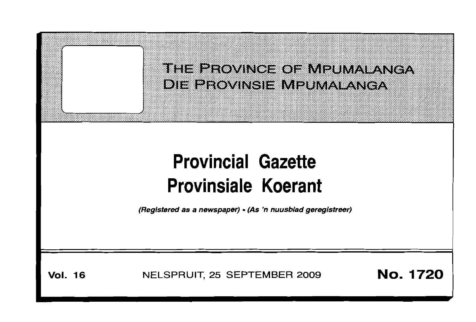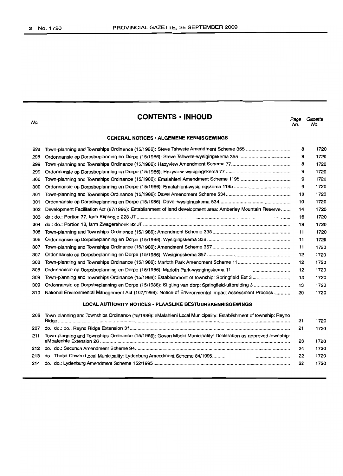| v<br>٠ | c<br>۰.<br>the contract of the con- | I |
|--------|-------------------------------------|---|

## **CONTENTS ·INHOUD**

*Page Gazette* No. No.

#### **GENERAL NOTICES' ALGEMENE KENNISGEWINGS**

| 298 | Town-planning and Townships Ordinance (15/1986): Steve Tshwete Amendment Scheme 355                       | 8  | 1720 |
|-----|-----------------------------------------------------------------------------------------------------------|----|------|
| 298 |                                                                                                           | 8  | 1720 |
| 299 |                                                                                                           | 8  | 1720 |
| 299 |                                                                                                           | 9  | 1720 |
| 300 |                                                                                                           | 9  | 1720 |
| 300 |                                                                                                           | 9  | 1720 |
| 301 |                                                                                                           | 10 | 1720 |
| 301 |                                                                                                           | 10 | 1720 |
| 302 | Development Facilitation Act (67/1995): Establishment of land development area: Amberley Mountain Reserve | 14 | 1720 |
| 303 |                                                                                                           | 16 | 1720 |
| 304 |                                                                                                           | 18 | 1720 |
| 306 |                                                                                                           | 11 | 1720 |
| 306 |                                                                                                           | 11 | 1720 |
| 307 |                                                                                                           | 11 | 1720 |
| 307 |                                                                                                           | 12 | 1720 |
| 308 |                                                                                                           | 12 | 1720 |
| 308 |                                                                                                           | 12 | 1720 |
| 309 |                                                                                                           | 13 | 1720 |
| 309 |                                                                                                           | 13 | 1720 |
| 310 | National Environmental Management Act (107/1998): Notice of Environmental Impact Assessment Process       | 20 | 1720 |
|     |                                                                                                           |    |      |

## **LOCAL AUTHORITY NOTICES' PLAASLIKE BESTUURSKENNISGEWINGS**

| 206 | Town-planning and Townships Ordinance (15/1986): eMalahleni Local Municipality: Establishment of township: Reyno | 21 | 1720 |
|-----|------------------------------------------------------------------------------------------------------------------|----|------|
| 207 |                                                                                                                  | 21 | 1720 |
| 211 | Town-planning and Townships Ordinance (15/1986): Govan Mbeki Municipality: Declaration as approved township:     | 23 | 1720 |
|     |                                                                                                                  | 24 | 1720 |
|     |                                                                                                                  | 22 | 1720 |
|     |                                                                                                                  | 22 | 1720 |
|     |                                                                                                                  |    |      |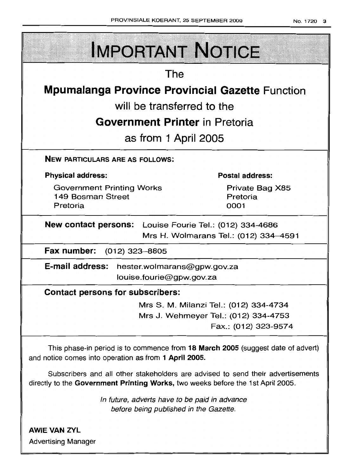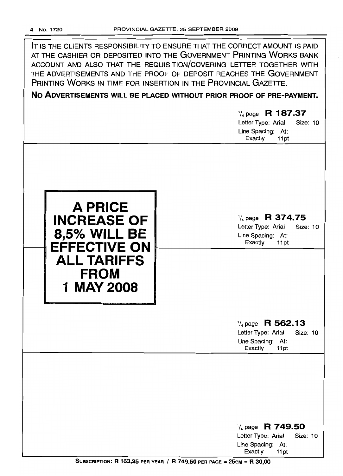IT IS THE CLIENTS RESPONSIBILITY TO ENSURE THAT THE CORRECT AMOUNT IS PAID AT THE CASHIER OR DEPOSITED INTO THE GOVERNMENT PRINTING WORKS BANK ACCOUNT AND ALSO THAT THE REQUISITION/COVERING LETTER TOGETHER WITH THE ADVERTISEMENTS AND THE PROOF OF DEPOSIT REACHES THE GOVERNMENT PRINTING WORKS IN TIME FOR INSERTION IN THE PROVINCIAL GAZETTE.

**No ADVERTISEMENTS WILL BE PLACED WITHOUT PRIOR PROOF OF PRE-PAYMENT.**

# 1/4 page R **1 87.37** Letter Type: Arial Size: 10 Line Spacing: At: Exactly 11pt **A PRICE INCREASE OF 8,5% WILL BE EFFECTIVE ON ALL TARIFFS FROM 1** MAY 2008 1/4 page **R 374.75** Letter Type: Arial Size: 10 Line Spacing: At: Exactly 11 pt 1/4 page **R 562.13** Letter Type: Arial Size: 10 Line Spacing: At: Exactly 11 pt 1/4 page R **749.50** Letter Type: Arial Size: 10 Line Spacing: At:

Exactly 11 pt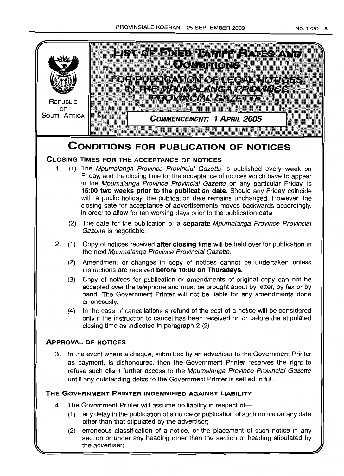

the advertiser;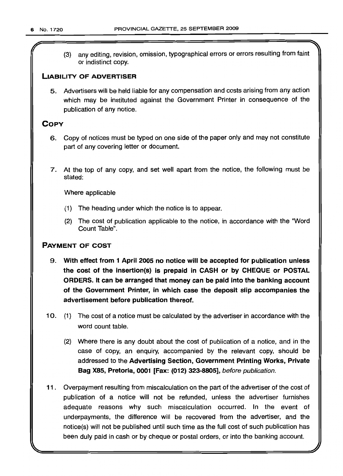{3} any editing, revision, omission, typographical errors or errors resulting from faint or indistinct copy.

## LIABILITY OF ADVERTISER

5. Advertisers will be held liable for any compensation and costs arising from any action which may be instituted against the Government Printer in consequence of the publication of any notice.

## **COPY**

- 6. Copy of notices must be typed on one side of the paper only and may not constitute part of any covering letter or document.
- 7. At the top of any copy, and set well apart from the notice, the following must be stated:

Where applicable

- {1} The heading under which the notice is to appear.
- {2} The cost of publication applicable to the notice, in accordance with the 'Word Count Table".

## PAYMENT OF COST

- 9. With effect from 1 April 2005 no notice will be accepted for publication unless the cost of the insertion(s) is prepaid in CASH or by CHEQUE or POSTAL ORDERS. It can be arranged that money can be paid into the banking account of the Government Printer, in which case the deposit slip accompanies the advertisement before publication thereof.
- 10. {1} The cost of a notice must be calculated by the advertiser in accordance with the word count table.
	- {2} Where there is any doubt about the cost of publication of a notice, and in the case of copy, an enquiry, accompanied by the relevant copy, should be addressed to the Advertising Section, Government Printing Works, Private Bag X85, Pretoria, 0001 [Fax: (012) 323-8805], before publication.
- 11. Overpayment resulting from miscalculation on the part of the advertiser of the cost of publication of a notice will not be refunded, unless the advertiser furnishes adequate reasons why such miscalculation occurred. In the event of underpayments, the difference will be recovered from the advertiser, and the notice{s) will not be published until such time as the full cost of such publication has been duly paid in cash or by cheque or postal orders, or into the banking account.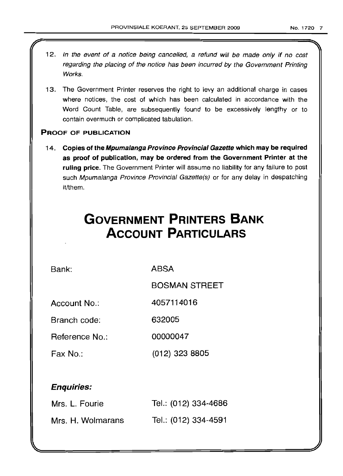- 12. In the event of a notice being cancelled, a refund will be made only if no cost regarding the placing of the notice has been incurred by the Government Printing Works.
- 13. The Government Printer reserves the right to levy an additional charge in cases where notices, the cost of which has been calculated in accordance with the Word Count Table, are subsequently found to be excessively lengthy or to contain overmuch or complicated tabulation.

## PROOF OF PUBLICATION

14. Copies of the Mpumalanga Province Provincial Gazette which may be required as proof of publication, may be ordered from the Government Printer at the ruling price. The Government Printer will assume no liability for any failure to post such Mpumalanga Province Provincial Gazette(s) or for any delay in despatching it/them.

# **GOVERNMENT PRINTERS BANK ACCOUNT PARTICULARS**

Bank: ABSA

BOSMAN STREET

Account No.: 4057114016

Branch code: 632005

Reference No.: 00000047

Fax No.: (012) 323 8805

## Enquiries:

| Mrs. L. Fourie    | Tel.: (012) 334-4686 |
|-------------------|----------------------|
| Mrs. H. Wolmarans | Tel.: (012) 334-4591 |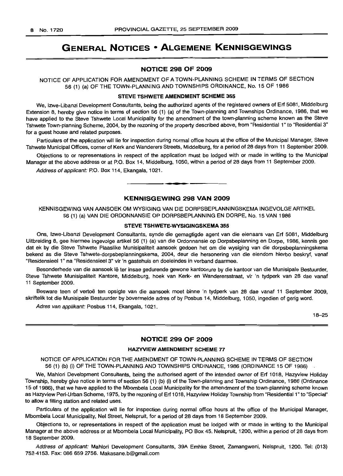## **GENERAL NOTICES • ALGEMENE KENNISGEWINGS**

#### NOTICE 298 OF 2009

NOTICE OF APPLICATION FOR AMENDMENT OF A TOWN-PLANNING SCHEME IN TERMS OF SECTION 56 (1) (a) OF THE TOWN-PLANNING AND TOWNSHIPS ORDINANCE, No. 15 OF 1986

#### STEVE TSHWETE AMENDMENT SCHEME 355

We, Izwe-Libanzi Development Consultants, being the authorized agents of the registered owners of Erf 5081, Middelburg Extension 8, hereby give notice in terms of section 56 (1) (a) of the Town-planning and Townships Ordinance, 1986, that we have applied to the Steve Tshwete Local Municipality for the amendment of the town-planning scheme known as the Steve Tshwete Town-planning Scheme, 2004, by the rezoning of the property described above, from "Residential 1" to "Residential 3" for a guest house and related purposes.

Particulars of the application will lie for inspection during normal office hours at the office of the Municipal Manager, Steve Tshwete Municipal Offices, corner of Kerk and Wanderers Streets, Middelburg, for a period of 28 days from 11 September 2009.

Objections to or representations in respect of the application must be lodged with or made in writing to the Municipal Manager at the above address or at P.O. Box 14, Middelburg, 1050, within a period of 28 days from 11 September 2009.

Address of applicant: P.O. Box 114, Ekangala, 1021.

## KENNISGEWING 298 VAN 2009

**.-**

KENNISGEWING VAN AANSOEK OM WYSIGING VAN DIE DORPSBEPLANNINGSKEMA INGEVOLGE ARTIKEL 56 (1) (a) VAN DIE ORDONNANSIE OP DORPSBEPLANNING EN DORPE, No. 15 VAN 1986

#### STEVE TSHWETE-WYSIGINGSKEMA 355

Ons, Izwe-Libanzi Development Consultants, synde die gemagtigde agent van die eienaars van Erf 5081, Middelburg Uitbreiding 8, gee hiermee ingevolge artikel 56 (1) (a) van die Ordonnansie op Dorpsbeplanning en Dorpe, 1986, kennis gee dat ek by die Steve Tshwete Plaaslike Munisipaliteit aansoek gedoen het om die wysiging van die dorpsbeplanningskema bekend as die Steve Tshwete-dorpsbeplanningskema, 2004, deur die hersonering van die eiendom hierbo beskryt, vanaf "Residensieel 1" na "Residensieel 3" vir 'n gastehuis en doeleindes in verband daarmee.

Besonderhede van die aansoek lê ter insae gedurende gewone kantoorure by die kantoor van die Munisipale Bestuurder, Steve Tshwete Munisipaliteit Kantore, Middelburg, hoek van Kerk- en Wanderersstraat, vir 'n tydperk van 28 dae vanaf 11 September 2009.

Besware teen of vertoë ten opsigte van die aansoek moet binne 'n tydperk van 28 dae vanaf 11 September 2009, skriftelik tot die Munisipale Bestuurder by bovermelde adres of by Posbus 14, Middelburg, 1050, ingedien of gerig word.

Adres van applikant: Posbus 114, Ekangala, 1021.

18-25

## NOTICE 299 OF 2009

#### HAZYVIEW AMENDMENT SCHEME 77

NOTICE OF APPLICATION FOR THE AMENDMENT OF TOWN-PLANNING SCHEME IN TERMS OF SECTION 56 (1) (b) (i) OF THE TOWN-PLANNING AND TOWNSHIPS ORDINANCE, 1986 (ORDINANCE 15 OF 1986)

We, Mahlori Development Consultants, being the authorised agent of the intended owner of Erf 1018, Hazyview Holiday Township, hereby give notice in terms of section 56 (1) (b) (i) of the Town-planning and Township Ordinance, 1986 (Ordinance 15 of 1986), that we have applied to the Mbombela Local Municipality for the amendment of the town-planning scheme known as Hazyview Peri-Urban Scheme, 1975, by the rezoning of Erf 1018, Hazyview Holiday Township from "Residential 1" to "Special" to allow a filling station and related uses.

Particulars of the application will lie for inspection during normal office hours at the office of the Municipal Manager, Mbombela Local Municipality, Nel Street, Nelspruit, for a period of 28 days from 18 September 2009.

Objections to, or representations in respect of the application must be lodged with or made in writing to the Municipal Manager at the above address or at Mbombela Local Municipality, PO Box 45, Nelspruit, 1200, within a period of 28 days from 18 September 2009.

Address of applicant: Mahlori Development Consultants, 39A Emhke Street, Zamangweni, Nelspruit, 1200. Tel: (013) 752-4153. Fax: *086* 659 2756. Makasane.b@gmail.com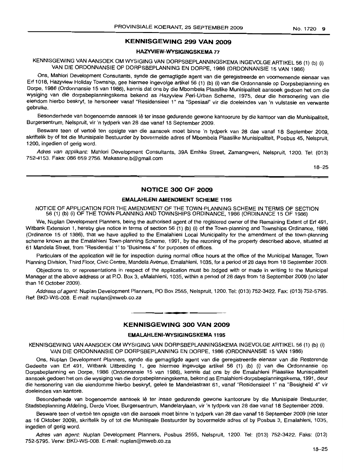#### **KENNISGEWING 299 VAN 2009**

## **HAZVVIEW-WYSIGINGSKEMA** 77

KENNISGEWING VAN AANSOEK OM WYSIGING VAN DORPSBEPLANNINGSKEMA INGEVOLGE ARTIKEL 56 (1) (b) (i) VAN DIE ORDONNANSIE OP DORPSBEPLANNING EN DORPE, 1986 (ORDONNANSIE 15 VAN 1986)

Ons, Mahlori Development Consultants, synde die gemagtigde agent van die geregistreerde en voornemende eienaar van Erf 1018, Hazyview Holiday Township, gee hiermee ingevolge artikel 56 (1) (b) (i) van die Ordonnansie op Dorpsbeplanning en Dorpe, 1986 (Ordonnansie 15 van 1986), kennis dat ons by die Mbombela Plaaslike Munisipaliteit aansoek gedoen het om die wysiging van die dorpsbeplanningskema bekend as Hazyview Peri-Urban Scheme, 1975, deur die hersonering van die eiendom hierbo beskryf, te hersoneer vanaf "Residensieel 1" na "Spesiaal" vir die doeleindes van 'n vulstasie en verwante gebruike.

Besonderhede van bogenoemde aansoek lê ter insae gedurende gewone kantoorure by die kantoor van die Munisipaliteit, Burgersentrum, Nelspruit, vir 'n tydperk van 28 dae vanaf 18 September 2009.

Besware teen of vertoë ten opsigte van die aansoek moet binne 'n tydperk van 28 dae vanaf 18 September 2009, skriftelik by of tot die Munisipale Bestuurder by bovermelde adres of Mbombela Plaaslike Munisipaliteit, Posbus 45, Nelspruit, 1200, ingedien of gerig word.

Adres van applikant: Mahlori Development Consultants, 39A Emhke Street, Zamangweni, Nelspruit, 1200. Tel: (013) 752-4153. Faks: 086 659 2756. Makasane.b@gmail.com

18-25

#### **NOTICE 300 OF 2009**

#### **EMALAHLENI AMENDMENT SCHEME 1195**

NOTICE OF APPLICATION FOR THE AMENDMENT OF THE TOWN-PLANNING SCHEME IN TERMS OF SECTION 56 (1) (b) (i) OF THE TOWN-PLANNING AND TOWNSHIPS ORDINANCE, 1986 (ORDINANCE 15 OF 1986)

We, Nuplan Development Planners, being the authorised agent of the registered owner of the Remaining Extent of Erf 491, Witbank Extension 1, hereby give notice in terms of section 56 (1) (b) (i) of the Town-planning and Townships Ordinance, 1986 (Ordinance 15 of 1986), that we have applied to the Emalahleni Local Municipality for the amendment of the town-planning scheme known as the Emalahleni Town-planning Scheme, 1991, by the rezoning of the property described above, situated at 61 Mandela Street, from "Residential 1"to "Business 4" for purposes of offices.

Particulars of the application will lie for inspection during normal office hours at the office of the Municipal Manager, Town Planning Division, Third Floor, Civic Centre, Mandela Avenue, Emalahleni, 1035, for a period of 28 days from 18 September 2009.

Objections to, or representations in respect of the application must be lodged with or made in writing to the Municipal Manager at the above address or at P.O. Box 3, eMalahleni, 1035, within a period of 28 days from 18 September 2009 (no later than 16 October 2009).

Address of agent: Nuplan Development Planners, PO Box 2555, Nelspruit, 1200. Tel: (013) 752-3422. Fax: (013) 752-5795. Ref: BKD-WS-008. E-mail: nuplan@mweb.co.za

#### **KENNISGEWING 300 VAN 2009**

**. -**

#### **EMALAHLENI-WYSIGINGSKEMA** 1195

KENNISGEWING VAN AANSOEK OM WYSIGING VAN DORPSBEPLANNINGSKEMA INGEVOLGE ARTIKEL 56 (1) (b) (i) VAN DIE ORDONNANSIE OP DORPSBEPLANNING EN DORPE, 1986 (ORDONNANSIE 15 VAN 1986)

Ons, Nuplan Development Planners, synde die gemagtigde agent van die geregistreerde eienaar van die Resterende Gedeelte van Erf 491, Witbank Uitbreiding 1, gee hiermee ingevolge artikel 56 (1) (b) (i) van die Ordonnansie op Dorpsbeplanning en Dorpe, 1986 (Ordonnansie 15 van 1986), kennis dat ons by die Emalahleni Plaaslike Munisipaliteit aansoek gedoen het om die wysiging van die dorpsbeplanningskema, bekend as Emalahleni-dorpsbeplanningskema, 1991, deur die hersonering van die eiendomme hierbo beskryf, geleë te Mandelastraat 61, vanaf "Residensieel 1" na "Besigheid 4" vir doeleindes van kantore.

Besonderhede van bogenoemde aansoek lê ter insae gedurende gewone kantoorure by die Munisipale Bestuurder, Stadsbeplanning Afdeling, Derde Vloer, Burgersentrum, Mandelarylaan, vir 'n tydperk van 28 dae vanaf 18 September 2009.

Besware teen of vertoe ten opsigte van die aansoek moet binne 'n tydperk van 28 dae vanaf 18 September 2009 (nie later as 16 Oktober 2009), skriftelik by of tot die Munisipale Bestuurder by bovermelde adres of by Posbus 3, Emalahleni, 1035, ingedien of gerig word.

Adres van agent: Nuplan Development Planners, Posbus 2555, Nelspruit, 1200. Tel: (013) 752-3422. Faks: (013) 752-5795. Verw: BKD-WS-008. E-mail: nuplan@mweb.co.za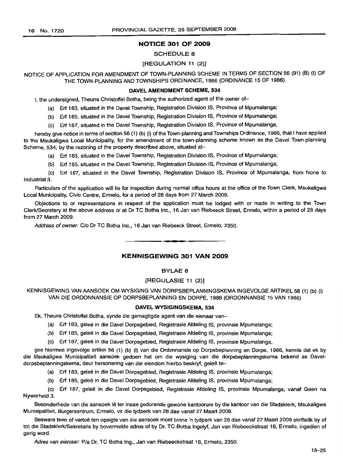## NOTICE 301 OF 2009

#### SCHEDULE 8

#### [REGULATION 11 (2)]

NOTICE OF APPLICATION FOR AMENDMENT OF TOWN-PLANNING SCHEME IN TERMS OF SECTION 56 (91) (B) (I) OF THE TOWN-PLANNING AND TOWNSHIPS ORDINANCE, 1986 (ORDINANCE 15 OF 1986)

#### DAVEL AMENDMENT SCHEME, 534

I, the undersigned, Theuns Christoffel Botha, being the authorized agent of the owner of-

(a) Erf 183, situated in the Davel Township, Registration Division IS, Province of Mpumalanga;

(b) Erf 185, situated in the Davel Township, Registration Division IS, Province of Mpumalanga;

(c) Erf 187, situated in the Davel Township, Registration Division IS, Province of Mpumalanga,

hereby give notice in terms of section 56 (1) (b) (i) of the Town-planning and Townships Ordinance, 1986, that I have applied to the Msukaligwa Local Municipality, for the amendment of the town-planning scheme known as the Davel Town-planning Scheme, 534, by the rezoning of the property described above, situated at-

(a) Erf 183, situated in the Davel Township, Registration Division IS, Province of Mpumalanga;

(b) Erf 185, situated in the Davel Township, Registration Division IS, Province of Mpumalanga;

(c) Erf 187, situated in the Davel Township, Registration Division IS, Province of Mpumalanga, from None to Industrial 3.

Particulars of the application will lie for inspection during normal office hours at the office of the Town Clerk, Msukaligwa Local Municipality, Civic Centre, Ermelo, for a period of 28 days from 27 March 2009.

Objections to or representations in respect of the application must be lodged with or made in writing to the Town Clerk/Secretary at the above address or at Dr TC Botha Inc., 16 Jan van Riebeeck Street, Ermelo, within a period of 28 days from 27 March 2009.

Address of owner: C/o Dr TC Botha Inc., 16 Jan van Riebeeck Street, Ermelo, 2350.

## KENNISGEWING 301 VAN 2009

**•**

## BYLAE 8

## [REGULASIE 11 (2)]

KENNISGEWING VAN AANSOEK OM WYSIGING VAN DORPSBEPLANNINGSKEMA INGEVOLGE ARTIKEL 56 (1) (b) (i) VAN DIE ORDONNANSIE OP DORPSBEPLANNING EN DORPE, 1986 (ORDONNANSIE 15 VAN 1986)

#### DAVEL WYSIGINGSKEMA, 534

Ek, Theuns Christoffel Botha, synde die gemagtigde agent van die eienaar van-

- (a) Erf 183, gelee in die Davel Dorpsgebied, Registrasie Afdeling IS, provinsie Mpumalanga;
- (b) Erf 185, gelee in die Davel Dorpsgebied, Registrasie Afdeling IS, provinsie Mpumalanga;

(c) Erf 187, gelee in die Davel Dorpsgebied, Registrasie Afdeling IS, provinsie Mpumalanga,

gee hiermee ingevolge artikel 56 (1) (b) (i) van die Ordonnansie op Dorpsbeplanning en Dorpe, 1986, kennis dat ek by die Msukaligwa Munisipaliteit aansoek gedoen het om die wysiging van die dorpsbeplanningskema bekend as Daveldorpsbeplanningskema, deur hersonering van die eiendom hierbo beskryf, geleë te--

(a) Erf 183, geleë in die Davel Dorpsgebied, Registrasie Afdeling IS, provinsie Mpumalanga;

(b) Erf 185, gelee in die DaveI Dorpsgebied, Registrasie Afdeling IS, provinsie Mpumalanga;

(c) Erf 187, gelee in die Davel Dorpsgebied, Registrasie Afdeling IS, provinsie Mpumalanga, vanaf Geen na Nywerheid 3.

Besonderhede van die aansoek Ie ter insae gedurende gewone kantoorure by die kantoor van die Stadsklerk, Msukaligwa Munisipaliteit, Burgersentrum, Ermelo, vir die tydperk van 28 dae vanaf 27 Maart 2009.

Besware teen of vertoë ten opsigte van die aansoek moet binne 'n tydperk van 28 dae vanaf 27 Maart 2009 skriftelik by of tot die Stadsklerk/Sekretaris by bovermelde adres of by Dr. TC Botha Ingelyf, Jan van Riebeeckstraat 16, Ermelo, ingedien of gerig word.

Adres van eienaar: Pia Dr. TC Botha Ing., Jan van Riebeeckstraat 16, Ermelo, 2350.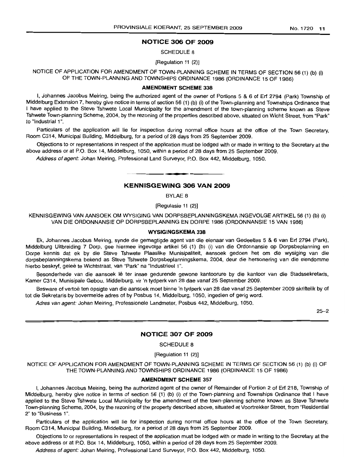## **NOTICE 306 OF 2009**

SCHEDULE 8

[Regulation 11 (2)]

NOTICE OF APPLICATION FOR AMENDMENT OF TOWN-PLANNING SCHEME IN TERMS OF SECTION 56 (1) (b) (i) OF THE TOWN-PLANNING AND TOWNSHIPS ORDINANCE 1986 (ORDINANCE 15 OF 1986)

#### **AMENDMENT SCHEME** 338

I, Johannes Jacobus Meiring, being the authorized agent of the owner of Portions 5 & 6 of Erf 2794 (Park) Township of Middelburg Extension 7, hereby give notice in terms of section 56 (1) (b) (i) of the Town-planning and Townships Ordinance that I have applied to the Steve Tshwete Local Municipality for the amendment of the town-planning scheme known as Steve Tshwete Town-planning Scheme, 2004, by the rezoning of the properties described above, situated on Wicht Street, from "Park" to "Industrial 1".

Particulars of the application will lie for inspection during normal office hours at the office of the Town Secretary, Room C314, Municipal Building, Middelburg, for a period of 28 days from 25 September 2009.

Objections to or representations in respect of the application must be lodged with or made in writing to the Secretary at the above address or at P.O. Box 14, Middelburg, 1050, within a period of 28 days from 25 September 2009.

Address of agent: Johan Meiring, Professional Land Surveyor, P.O. Box 442, Middelburg, 1050.

### **KENNISGEWING 306 VAN 2009**

**-**

BYLAE 8

[Regulasie 11 (2)]

KENNISGEWING VAN AANSOEK OM WYSIGING VAN DORPSBEPLANNINGSKEMA INGEVOLGE ARTIKEL 56 (1) (b) (i) VAN DIE ORDONNANSIE OP DORPSBEPLANNING EN DORPE 1986 (ORDONNANSIE 15 VAN 1986)

#### **WYSIGINGSKEMA** 338

Ek, Johannes Jacobus Meiring, synde die gemagtigde agent van die eienaar van Gedeeltes 5 & 6 van Erf 2794 (Park), Middelburg Uitbreiding 7 Dorp, gee hiermee ingevofge artikel 56 (1) (b) (i) van die Ordonnansie op Dorpsbeplanning en Dorpe kennis dat ek by die Steve Tshwete Plaaslike Munisipaliteit, aansoek gedoen het om die wysiging van die dorpsbeplanningskema bekend as Steve Tshwete Dorpsbeplanningskema, 2004, deur die hersonering van die eiendomme hierbo beskryf, geleë te Wichtstraat, van "Park" na "Industrieel 1".

Besonderhede van die aansoek lê ter insae gedurende gewone kantoorure by die kantoor van die Stadssekretaris, Kamer C314, Munisipale Gebou, Middelburg, vir 'n tydperk van 28 dae vanaf 25 September 2009.

Besware of vertoe ten opsigte van die aansoek moet binne 'n tydperk van 28 dae vanaf 25 September 2009 skriftelik by of tot die Sekretaris by bovermelde adres of by Posbus 14, Middelburg, 1050, ingedien of gerig word.

Adres van agent: Johan Meiring, Professionele Landmeter, Posbus 442, Middelburg, 1050.

25-2

#### **NOTICE 307 OF 2009**

SCHEDULE 8

[Requlation 11 (2)]

NOTICE OF APPLICATION FOR AMENDMENT OF TOWN-PLANNING SCHEME IN TERMS OF SECTION 56 (1) (b) (i) OF THE TOWN-PLANNING AND TOWNSHIPS ORDINANCE 1986 (ORDINANCE 15 OF 1986)

#### **AMENDMENT SCHEME** 357

I, Johannes Jacobus Meiring, being the authorized agent of the owner of Remainder of Portion 2 of Erf 218, Township of Middelburg, hereby give notice in terms of section 56 (1) (b) (i) of the Town-planning and Townships Ordinance that I have applied to the Steve Tshwete Local Municipality for the amendment of the town-planning scheme known as Steve Tshwete Town-planning Scheme, 2004, by the rezoning of the property described above, situated at Voortrekker Street, from "Residential 2" to "Business 1".

Particulars of the application will lie for inspection during normal office hours at the office of the Town Secretary, Room C314, Municipal Building, Middelburg, for a period of 28 days from 25 September 2009.

Objections to or representations in respect of the application must be lodged with or made in writing to the Secretary at the above address or at P.O. Box 14, Middelburg, 1050, within a period of 28 days from 25 September 2009.

Address of agent: Johan Meiring, Professional Land Surveyor, P.O. Box 442, Middelburg, 1050.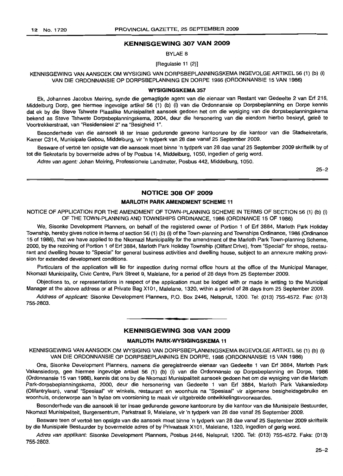## KENNISGEWING 307 VAN 2009

BYLAE 8

[Regulasie 11 (2)]

#### KENNISGEWING VAN AANSOEK OM WYSIGING VAN DORPSBEPLANNINGSKEMA INGEVOLGE ARTIKEL 56 (1) (b) (i) VAN DIE ORDONNANSIE OP DORPSBEPLANNING EN DORPE 1986 (ORDONNANSIE 15 VAN 1986)

#### WYSIGINGSKEMA 357

Ek, Johannes Jacobus Meiring, synde die gemagtigde agent van die eienaar van Restant van Gedeelte 2 van Erf 218, Middelburg Dorp, gee hiermee ingevolge artikel 56 (1) (b) (i) van die Ordonnansie op Dorpsbeplanning en Dorpe kennis dat ek by die Steve Tshwete Plaaslike Munisipaliteit aansoek gedoen het om die wysiging van die dorpsbeplanningskema bekend as Steve Tshwete Dorpsbeplanningskema, 2004, deur die hersonering van die eiendom hierbo beskryf, geleë te Voortrekkerstraat, van "Residensieel 2" na "Besigheid 1".

Besonderhede van die aansoek lê ter insae gedurende gewone kantoorure by die kantoor van die Stadsekretaris, Kamer C314, Munisipale Gebou, Middelburg, vir 'n tydperk van 28 dae vanaf 25 September 2009.

Besware of vertoë ten opsigte van die aansoek moet binne 'n tydperk van 28 dae vanaf 25 September 2009 skriftelik by of tot die Sekretaris by bovermelde adres of by Posbus 14, Middelburg, 1050, ingedien of gerig word.

Adres van agent: Johan Meiring, Professionele Landmeter, Posbus 442, Middelburg, 1050.

 $25 - 2$ 

### NOTICE 308 OF 2009

## MARLOTH PARK AMENDMENT SCHEME 11

NOTICE OF APPLICATION FOR THE AMENDMENT OF TOWN-PLANNING SCHEME IN TERMS OF SECTION 56 (1) (b) (i) OF THE TOWN-PLANNING AND TOWNSHIPS ORDINANCE, 1986 (ORDINANCE 15 OF 1986)

We, Sisonke Development Planners, on behalf of the registered owner of Portion 1 of Erf 3884, Marloth Park Holiday Township, hereby gives notice in terms of section 56 (1) (b) (i) of the Town-planning and Townships Ordinance, 1986 (Ordinance 15 of 1986), that we have applied to the Nkomazi Municipality for the amendment of the Marloth Park Town-planning Scheme, 2000, by the rezoning of Portion 1 of Erf 3884, Marloth Park Holiday Township (Olifant Drive), from "Special" for shops, restaurant and dwelling house to "Special" for general business activities and dwelling house, subject to an annexure making provision for extended development conditions.

Particulars of the application will lie for inspection during normal office hours at the office of the Municipal Manager, Nkomazi Municipality, Civic Centre, Park Street 9, Malelane, for a period of 28 days from 25 September 2009.

Objections to, or representations in respect of the application must be lodged with or made in writing to the Municipal Manager at the above address or at Private Bag Xl 01, Malelane, 1320, within a period of 28 days from 25 September 2009.

Address of applicant: Sisonke Development Planners, P.O. Box 2446, Nelspruit, 1200. Tel: (013) 755-4572. Fax: (013) 755-2803.

#### KENNISGEWING 308 VAN 2009

**• •**

#### MARLOTH PARK-WYSIGINGSKEMA 11

KENNISGEWING VAN AANSOEK OM WYSIGING VAN DORPSBEPLANNINGSKEMA INGEVOLGE ARTIKEL 56 (1) (b) (i) VAN DIE ORDONNANSIE OP DORPSBEPLANNING EN DORPE, 1986 (ORDONNANSIE 15 VAN 1986)

Ons, Sisonke Development Planners, namens die geregistreerde eienaar van Gedeelte 1 van Erf 3884, Marloth Park Vakansiedorp, gee hiermee ingevolge artikel 56 (1) (b) (i) van die Ordonnansie op Dorpsbeplanning en Dorpe, 1986 (Ordonnansie 15 van 1986), kennis dat ons by die Nkomazi Munisipaliteit aansoek gedoen het om die wysiging van die Marloth Park-dorpsbeplanningskema, 2000, deur die hersonering van Gedeelte 1 van Erf 3884, Marloth Park Vakansiedorp (Olifantrylaan), vanaf "Spesiaal" vir winkels, restaurant en woonhuis na "Spesiaal" vir algemene besigheidsgebruike en woonhuis, onderworpe aan 'n bylae om voorsiening te maak vir uitgebreide ontwikkelingsvoorwaardes.

Besonderhede van die aansoek lê ter insae gedurende gewone kantoorure by die kantoor van die Munisipale Bestuurder, Nkomazi Munisipaliteit, Burgersentrum, Parkstraat 9, Malelane, vir 'n tydperk van 28 dae vanaf 25 September 2009.

Besware teen of vertoë ten opsigte van die aansoek moet binne 'n tydperk van 28 dae vanaf 25 September 2009 skriftelik by die Munisipale Bestuurder by bovermelde adres of by Privaatsak X101, Malelane, 1320, ingedien of gerig word.

Adres van applikant: Sisonke Development Planners, Posbus 2446, Nelspruit, 1200. Tel: (013) 755-4572. Faks: (013) 755-2803.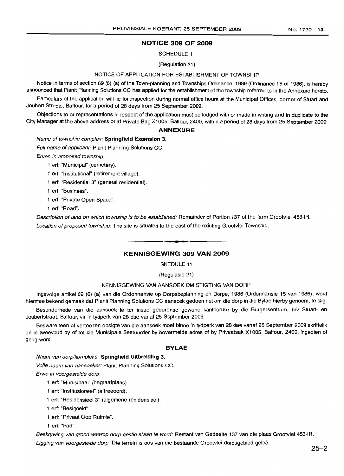### **NOTICE 309 OF 2009**

SCHEDULE 11

(Regulation 21)

#### NOTICE OF APPLICATION FOR ESTABLISHMENT OF TOWNSHIP

Notice in terms of section 69 (6) (a) of the Town-planning and Townships Ordinance, 1986 (Ordinance 15 of 1986), is hereby announced that Planit Planning Solutions CC has applied for the establishment of the township referred to in the Annexure hereto.

Particulars of the application will lie for inspection during normal office hours at the Municipal Offices, corner of Stuart and Joubert Streets, Balfour, for a period of 28 days from 25 September 2009.

Objections to or representations in respect of the application must be lodged with or made in writing and in duplicate to the City Manager at the above address or at Private Bag X1005, Balfour, 2400, within a period of 28 days from 25 September 2009.

#### **ANNEXURE**

Name of township complex: **Springfield Extension** 3.

Full name of applicant: Planit Planning Solutions CC.

Erven in proposed township:

- 1 erf: "Municipal" (cemetery).
- 1 erf: "Institutional" (retirement village).
- 1 erf: "Residential 3" (general residential).
- 1 erf: "Business".
- 1 erf: "Private Open Space".
- 1 erf: "Road".

Description of land on which township is to be established: Remainder of Portion 137 of the farm Grootvlei 453-1R. Location of proposed township: The site is situated to the east of the existing Grootvlei Township.

## **KENNISGEWING 309 VAN 2009**

**-**

SKEDULE 11

(Regulasie 21)

#### KENNISGEWING VAN AANSOEK OM STIGTING VAN DORP

Ingevolge artikel 69 (6) (a) van die Ordonnansie op Dorpsbeplanning en Dorpe, 1986 (Ordonnansie 15 van 1986), word hiermee bekend gemaak dat Planit Planning Solutions CC aansoek gedoen het om die dorp in die Bylae hierby genoem, te stig.

Besonderhede van die aansoek lê ter insae gedurende gewone kantoorure by die Burgersentrum, h/v Stuart- en Joubertstraat, Balfour, vir 'n tydperk van 28 dae vanaf 25 September 2009.

Besware teen of vertoë ten opsigte van die aansoek moet binne 'n tydperk van 28 dae vanaf 25 September 2009 skriftelik en in tweevoud by of tot die Munisipale Bestuurder by bovermelde adres of by Privaatsak X1005, Balfour, 2400, ingedien of gerig word.

#### **BYLAE**

Naam van dorp/kompleks: **Springfield Uitbreiding** 3.

Volle naam van aansoeker: Planit Planning Solutions CC.

Erwe in voorgestelde dorp:

- 1 ert: "Munisipaal" (begraafplaas).
- 1 erf: "Institusioneel" (aftreeoord).
- 1 erf: "Residensieel 3" (algemene residensieel).
- 1 erf: "Besigheid".
- 1 ert: "Privaat Oop Ruimte".

1 ert: "Pad".

Beskrywing van grond waarop dorp gestig staan te word: Restant van Gedeelte 137 van die plaas Grootvlei 453-IR. Ligging van voorgestelde dorp: Die terrein is oos van die bestaande Grootvlei-dorpsgebied geleë.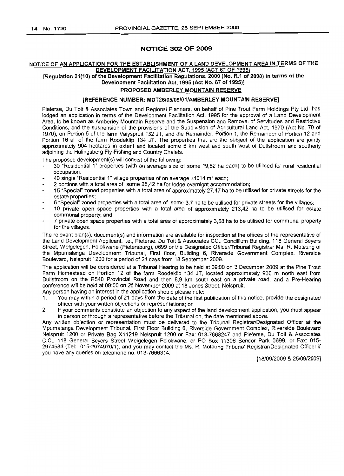#### **NOTICE 302 OF 2009**

#### NOTICE OF AN APPLICATION FOR THE ESTABLISHMENT OF A LAND DEVELOPMENT AREA IN TERMS OF THE DEVELOPMENT FACILITATION ACT, 1995 (ACT 67 OF 1995)

[Regulation 21(10) of the Development Facilitation Regulations, 2000 (No. R.1 of 2000) in terms of the

## Development Facilitation Act. 1995 (Act No. 67 of 1995)]

## PROPOSED AMBERLEY MOUNTAIN RESERVE

#### [REFERENCE NUMBER: MDT26/05/09/01/AMBERLEY MOUNTAIN RESERVE]

Pieterse, Du Toit & Associates Town and Regional Planners, on behalf of Pine Trout Farm Holdings pty Ltd has lodged an application in terms of the Development Facilitation Act, 1995 for the approval of a Land Development Area, to be known as Amberley Mountain Reserve and the Suspension and Removal of Servitudes and Restrictive Conditions, and the suspension of the provisions of the Subdivision of Agricultural Land Act, 1970 (Act No. 70 of 1970), on Portion 5 of the farm Valyspruit 132 JT, and the Remainder, Portion 1, the Remainder of Portion 12 and Portion 16 all of the farm Roodeklip 134 JT. The properties that are the subject of the application are jointly approximately 904 hectares in extent and located some 5 km west and south west of Dullstroom and southerly adjoining the Holingsberg Fly-Fishing and Country Chalets.

The proposed development(s) will consist of the following:

- 30 "Residential 1" properties (with an average size of some 19,82 ha each) to be utilised for rural residential occupation.
- 40 single "Residential 1" village properties of on average ±1014 m<sup>2</sup> each;
- 2 portions with a total area of some 26,42 ha for lodge overnight accommodation;
- 15 "Special" zoned properties with a total area of approximately 27,47 ha to be utilised for private streets for the estate properties;
- 6 "Special" zoned properties with a total area of some 3,7 ha to be utilised for private streets for the villages;
- 10 private open space properties with a total area of approximately 213,42 ha to be utilised for estate communal property; and
- 7 private open space properties with a total area of approximately 3,68 ha to be utilised for communal property for the villages.

The relevant plan(s), document(s) and information are available for inspection at the offices of the representative of the Land Development Applicant, i.e., Pieterse, Du Toit & Associates CC., Concillium Building, 118 General Beyers Street, Welgelegen, Polokwane (Pietersburg), 0699 or the Designated Officer/Tribunal Registrar Ms. R. Motaung of the Mpumalanga Development Tribunal, First floor, Building 6, Riverside Government Complex, Riverside Boulevard, Nelspruit 1200 for a period of 21 days from 18 September 2009.

The application will be considered at a Tribunal Hearing to be held at 09:00 on 3 December 2009 at the Pine Trout Farm Homestead on Portion 12 of the farm Roodeklip 134 JT, located approximately 900 m north east from Dullstroom on the R540 Provincial Road and then 8,9 km south east on a private road, and a Pre-Hearing conference will be held at 09:00 on 25 November 2009 at 18 Jones Street, Nelspruit.

Any person having an interest in the application should please note:

- 1. You may within a period of 21 days from the date of the first publication of this notice, provide the designated officer with your written objections or representations; or
- 2. If your comments constitute an objection to any aspect of the land development application, you must appear in person or through a representative before the Tribunal on, the date mentioned above.

Any written objection or representation must be delivered to the Tribunal Registrar/Designated Officer at the Mpumalanga Development Tribunal, First Floor Building 6, Riverside Government Complex, Riverside Boulevard Nelspruit 1200 or Private Bag X11219 Nelspruit 1200 or Fax: 013-7668247 and Pieterse, Du Toit & Associates C.C., 118 General Beyers Street Welgelegen Polokwane, or PO Box 11306 Bendor Park 0699, or Fax: 015- 2974584 (Tel: 015-2974970/1), and you may contact the Ms. R. Motaung Tribunal RegistrarlDesignated Officer if you have any queries on telephone no. 013-7666314.

[18/09/2009 & 2510912009)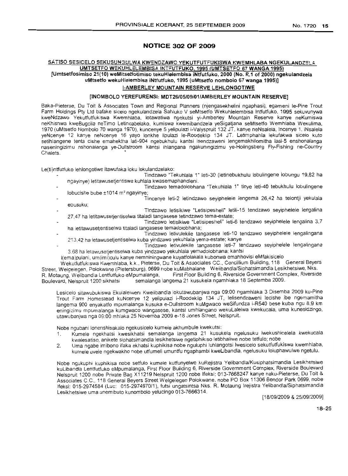## **NOTICE 302 OF 2009**

## **SATISO SESICELO SEKUSUNGULWA KWENDZAWO YEKUTFUTFUKISWA KWEMHLABA NGEKULANDZELA UMTSETFO WEKUHLELEMBISA INTFUTFUKO, 1995 /UMTSETFO 67 WANGA 1995)**

**[Umtsetfosimiso 21(10) weMitsetfotimiso tekuHlelembisa iNtfutfuko. 2000 (No. R.1 of 2000) ngekulandzeia uMtsetfo wekuHleiembisa iNtfutfuko, 1995 (uMtsetfo** nombolo **67 wanga 1995)]**

### **l-AMBERLEY MOUNTAIN RESERVE LEHLONGOTIWE**

#### **[INOMBOLO YEREFURENSI: MDT26/05/09/01/AMBERLEY MOUNTAIN RESERVE]**

Baka-Pieterse, Du Toit & Associates Town and Regional Planners (njengasekhelini ngaphasi), egameni Ie-Pine Trout Farm Holdings Ply Ltd bafake sicelo ngekulandzela Sahluko V seMtsetfo Wekuhlelembisa Intfutfuko, 1995 sekuvunywa kweNdzawo Yekutfutfukiswa Kwemhlaba. lotawatiwa ngekutsi yi-Amberley Mountain Reserve kanye neKumiswa neKhlshwa kweBugcila neTimo Letincabelako, kumiswa kwemibandzela yeSigatjana seMtsetfo Wemhlaba Wekulima. 1970 (uMtsetfo Nombolo 70 wanga 1970), kuncenye 5 yelipulazi i-Valyspruit 132 JT, kanye neNsalela, Incenye 1, iNsalela yeNcenye 12 kanye neNcenye 16 yayo lonkhe lipulazi le-Roodeklip 134 JT. Letimphahla lekufakwa sicelo kuto setihlangene tenta cishe emahektha lati-904 ngebukhulu kantsi isendzaweni lengemakhilomitha lasi-5 enshonalanga nasenlnqizirnu nshonaianga ye-Dullstroom kantsi ihlangana nqakumnqizirnu ye-Holingsberg Fly-Fishing ne-Country Chalets.

Le(ti)ntfutfuko lehlongotiwe itawufaka loku lokulandzelako:

- Tindzawo "Tekuhlala 1" leti-30 (Ietinebukhulu lobulingene lobungu 19.82 ha ngayinye) letitawusetjentiswa kuhlala kwasemaphandleni.
- Tindzawo temadolobhana "Tekuhlala 1" tinye letl-40 tebukhulu lobulingene lobucishe bube  $\pm 1014$  m<sup>2</sup> ngayinye;
- Tincenye leti-2 letindzawo seyiphelele lengema 26,42 ha telontji yekulala ebusuku;
- Tindzawo letisikiwe "Letisipesheli" letili-15 tendzawo seyiphelele lengalina 27,47 ha letitawusetjentiselwa titaladi tangasese tetindzawo tema-estate;
- Tindzawo letisikiwe "Letisipesheli" leti-6 tendzawo seyiphelele lengalina 3,7 ha letitawusetjentiselwa titaladi tangasese temadoiobhana:
- Tindzawo letivulekile tangasese leti-10 tendzawo seyiphelele lengalingana 213.42 ha letawusetjentiselwa kuba yindzawo yekuhlala vema-estate; kanye
- Tindzawo letivulekile tangasese letl-7 tendzawo seyiphelele lengalingana 3.68 ha letawusetjentiselwa kuba yindzawo yekuhlala yemadolobhana; kantsi
- I(ema)pulani, um(imi)culu kanye nemniningwane kuyatfolakala kubonwa emahhovisi eMfakisicelo

Wekutfutfuklswa Kwemhlaba, k.k., Pieterse, Du Toit & Associates CC., Concillium Building, 118 General Beyers Street, Welgelegen, Polokwane (Pietersburg), 0699 nobe kuMabhalane Weilbandla/Siphatsimandla Lesikhetsiwe, Nks.<br>R. Motaung, Welibandla Lentfutfuko eMpumalanga, First Floor Building 6, Riverside Government Complex, Riversid First Floor Building 6, Riverside Government Complex. Riverside Boulevard. Nelspruit 1200 sikhatsi semalanga langema 21 kusukela ngamhlaka 18 Septemba 2009.

Lesicelo sitawubukiswa Ekulalelweni Kwelibandla lokutawubanjwa nga 09:00 ngamhlaka 3 Disemba 2009 ku-Pine Trout Farm Homestead kuNcenye 12 yelipulazi i-Roodeklip 134 JT, lelisendzaweni lecishe ibe ngemamitha langema 900 enyakatfo mpumalanga kusuka e-Dullstroom kuMgwaco weSifundza i-R540 bese kuba ngu 8.9 km eningizimu mpumalanga kumgwaco wangasese, kantsi umhlangano wekuLalelwa kwekucala, uma kunesidzingo, utawubanjwa nga 09:00 mhlaka 25 Novemba 2009 e-18 Jones Street. Nelspruit.

Nobe ngubani lonenshisakalo ngekusicelo kumele akhumbule kwekutsi:

- 1. Kumele ngekhatsi kwesikhatsi semalanga langema 21 kusukela ngelusuku Iwekushicelela kwekucala kwalesatiso, anikete siphatsimandla lesikhetsiwe ngetiphikiso letibhaliwe nobe tetfulo; nobe
- 2, Uma ngabe imibono ifaka ekhatsi kuphikisa nobe nguluphi luhlangotsi Iwesicelo sekutfutfukiswa kwemhlaba, kumele uvele ngekwakho nobe utfumeli umuntfu ngaphambi kweLibandla, ngelusuku loluphawulwe nqetulu.

Nobe ngukuphi kuphikisa nobe setfulo kumele kutfunyelwe kuRejistra Yelibandla/Kusiphatsimandla Lesikhetsiwe kuLibandla Lentfutfuko eMpumalanga, First Floor Building 6, Riverside Government Complex, Riverside Boulevard Nelspruit 1200 nobe Private Bag X11219 Nelspruit 1200 nobe Ifeksi: 013-7668247 kanye naku-Pieterse, Du Toit & Associates C.C., 118 General Beyers Street Welgelegen Polokwane, nobe PO Box 11306 Bendor Park 0699, nobe Ifeksi: 015-2974584 (Luc: 015-2974970/1), futsi ungatsintsa Nks. R. Motaung Irejistra Yelibandla/Siphatsimandla Lesikhetsiwe uma unemibuto kunombolo yelucingo 013-7666314.

[18/09/2009 & 2510912009]

**18-25**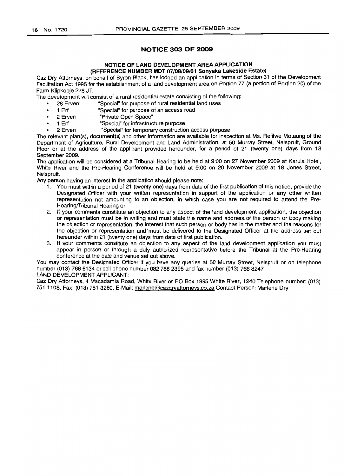## **NOTICE 303 OF 2009**

#### **NOTICE OF LAND DEVELOPMENT AREA APPLICATION (REFERENCE NUMBER MDT** 07/08/09/01 **Sonyaka Lakeside Estate)**

Caz Dry Attorneys, on behalf of Byron Black, has lodged an application in terms of Section 31 of the Development Facilitation Act 1995 for the establishment of a land development area on Portion 77 (a portion of Portion 20) of the Farm Klipkopje 228 JT.

The development will consist of a rural residential estate consisting of the following:

- 28 Erven: "Special" for purpose of rural residential land uses
- 1 Erf "Special" for purpose of an access road
- 2 Erven "Private Open Space"
- 1 Erf "Special" for infrastructure purpose
- 2 Erven "Special" for temporary construction access purpose

The relevant plan(s), document(s) and other information are available for inspection at Ms. Refilwe Motaung of the Department of Agriculture, Rural Development and Land Administration, at 50 Murray Street, Nelspruit, Ground Floor or at the address of the applicant provided hereunder, for a period of 21 (twenty one) days from 18 September 2009.

The application will be considered at a Tribunal Hearing to be held at 9:00 on 27 November 2009 at Karula Hotel, White River and the Pre-Hearing Conference will be held at 9:00 on 20 November 2009 at 18 Jones Street, Nelspruit.

Any person having an interest in the application should please note:

- 1. You must within a period of 21 (twenty one) days from date of the first publication of this notice, provide the Designated Officer with your written representation in support of the application or any other written representation not amounting to an objection, in which case you are not required to attend the Pre-Hearing/Tribunal Hearing or
- 2. If your comments constitute an objection to any aspect of the land development application, the objection or representation must be in writing and must state the name and address. of the person or body making the objection or representation, the interest that such person or body has in the matter and the reasons for the objection or representation and' must be delivered to the Designated Officer at the address set out hereunder within 21 (twenty one) days from date of first publication.
- 3. If your comments constitute an objection to any aspect of the land development application you must appear in person or through a duly authorized representative before the Tribunal at the Pre-Hearing conference at the date and venue set out above.

You may contact the Designated Officer if you have any queries at 50 Murray Street, Nelspruit or on telephone number (013) 766 6134 or cell phone number 082 788 2395 and fax number (013) 7668247

LAND DEVELOPMENT APPLICANT:

Caz Dry Attorneys, 4 Macadamia Road, White River or PO Box 1995 White River, 1240 Telephone number: (013) 751 1108, Fax: (013) 751 3280, E-Mail: marlene@cazdryattorneys.co.za Contact Person: Marlene Dry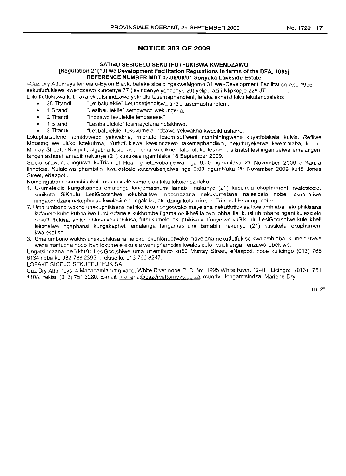## **NOTICE 303 OF 2009**

#### **SATISO SESICELO SEKUTFUTFUKISWA KWENDZAWO [Regulation 21(10) we Development Facilitation Regulations in terms** of the **DFA, 1995] REFERENCE NUMBER IIIIDT07/08/09/01 Sonyaka Lakeside Estate**

i-Caz Dry Attorneys lemela u-Byron Black, bafake sicelo ngekweMgomo 31 we -Development Facilitation Act, 1995 sekutfutfukiswa kwendzawo kuncenye 77 (Ieyincenye yencenye 20) yelipulazi i-Klipkopje 228 JT.

- Lokutfutfukiswa kutofaka ekhatsi indzawo yetindlu tasemaphandleni, lefaka ekhatsi loku lekulandzelako:
	- 28 Titandi "Letibalulekile" Letitosetjendiswa tindlu tasemaphandleni.
	- 1 Sitandi "Lesibalulekile" semgwaco wekungena.
	- 2 Titandi "Indzawo levulekile lengasese."
	- 1 Sitandi "Lesibalulekile" lesimayelana netakhiwo.
	- 2 Titandi "Letibalulekile" tekuvumela indzawo yekwakha kwesikhashane.

Lokuphatselene nemidvwebo yekwakha, mibhalo lesemtsetfweni nemininingwane kuyatfolakala kuMs. Refilwe Motaung we Litiko letekulima, Kutfutfukiswa kwetindzawo takemaphandleni, nekubuyeketwa kwemhlaba, ku 50 Murray Street, eNaspoti, sigabha lesiphasi, noma kulelikheli lalo lofake lesicelo, sikhatsi lesilinganiselwa emalangeni langemashumi lamabili nakunye (21) kusukela ngamhlaka 18 September 2009.

Sicelo sitawucubungulwa kuTribunal Hearing letawubanjelwa nga 9:00 ngamhlaka 27 November 2009 e Karula lihhotela, Kulalelwa phambilini kwalesicelo kutawubanjelwa nga 9:00 ngamhlaka 20 November 2009 ku18 Jones Street, eNaspoti.

Noma ngubani lonenshisekelo ngalesicelo kumele ati loku lokulandzelako:

- 1. Uvumelekile kungakapheli emalanga langemashumi lamabili nakunye (21) kusukela ekuphumeni kwalesicelo, kuniketa SiKhulu LesiGcotshiwe lokubhaliwe macondzana nekuvumelana nalesicelo nobe lokubhaliwe lengacondzani nekuphikisa kwalesicelo, ngaloku, akudzingi kutsi ufike kuTribunal Hearing, nobe
- 2. Uma umbono wakho unekuphikisana naloko lokuhlongotwako mayelana nekutfutfukisa kwalomhlaba, lekuphikisana kufanele kube kubhaliwe futsi kufanele kukhombe ligama nelikheli laloyo lobhalilie, kutsi uhl;obane ngani kulesicelo sekutfutfukisa, abike inhloso yekuphikisa, futsi kumele lekuphikisa kutfunyelwe kuSikhulu LesiGcotshiwe kulelikheli lelibhalwe ngaphansi kungakapheli emalanga langamashumi lamabili nakunye (21) kusukela ekuphumeni kwalesatiso.
- 3. Uma umbono wakho unekuphikisana naloko lokuhlongotwako mayelana nekutfutfukisa kwalomhlaba, kumele uvele wena matfupha nobe loyo lokumele ekulalelweni phambilini kwalesicelo, kulelilanga nenzawo lebekiwe.

Ungatsindzana neSikhulu LesiGcotshiwe uma unemibuto ku50 Murray Street, eNaspoti, nobe kulicingo (013) 766 6134 nobe ku 082 788 2395. ufekise ku 013 766 8247.

LOFAKE SICELO SEKUTFUTFUKISA:

Caz Dry Attorneys, 4 Macadamia umgwaco, White River nobe P. 0 Box 1995 White River, 1240. Licingo: (013) 751 1108, ifekisi: (013) 751 3280, E-mail: marlene@cazdrvattornevs.co.za, mundvu longamtsindza: Marlene Dry.

18-25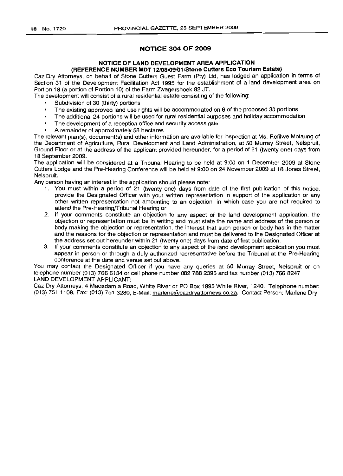## **NOTICE 304 OF 2009**

## **NOTICE OF LAND DEVELOPMENT AREA APPLICATION (REFERENCE NUMBER MDT** 12/08/09/01/Stone **Cutters Eco Tourism Estate)**

Caz Dry Attorneys, on behalf of Stone Cutters Guest Farm (Pty) Ltd, has lodged an application in terms of Section 31 of the Development Facilitation Act 1995 for the establishment of a land development area on Portion 18 (a portion of Portion 10) of the Farm Zwagershoek 82 JT.

The development will consist of a rural residential estate consisting of the following:

- Subdivision of 30 (thirty) portions
- The existing approved land use rights will be accommodated on 6 of the proposed 30 portions
- The additional 24 portions will be used for rural residential purposes and holiday accommodation
- The development of a reception office and security access gate
- A remainder of approximately 58 hectares

The relevant plan(s), document(s) and other information are available for inspection at Ms. Refilwe Motaung of the Department of Agriculture, Rural Development and Land Administration, at 50 Murray Street, Nelspruit, Ground Floor or at the address of the applicant provided hereunder, for a period of 21 (twenty one) days from 18 September 2009.

The application will be considered at a Tribunal Hearing to be held at 9:00 on 1 December 2009 at Stone Cutters Lodge and the Pre-Hearing Conference will be held at 9:00 on 24 November 2009 at 18 Jones Street, Nelspruit.

Any person having an interest in the application should please note:

- 1. You must within a period of 21 (twenty one) days from date of the first publication of this notice, provide the Designated Officer with your written representation in support of the application or any other written representation not amounting to an objection, in which case you are not required to attend the Pre-Hearing/Tribunal Hearing or
- 2. If your comments constitute an objection to any aspect of the land development application, the objection or representation must be in writing and must state the name and address of the person or body making the objection or representation, the interest that such person or body has in the matter and the reasons for the objection or representation and must be delivered to the Designated Officer at the address set out hereunder within 21 (twenty one) days from date of first publication.
- 3. If your comments constitute an objection to any aspect of the land development application you must appear in person or through a duly authorized representative before the Tribunal at the Pre-Hearing conference at the date and venue set out above.

You may contact the Designated Officer if you have any queries at 50 Murray Street, Nelspruit or on telephone number (013) 766 6134 or cell phone number 082 788 2395 and fax number (013) 766 8247 LAND DEVELOPMENT APPLICANT:

Caz Dry Attorneys, 4 Macadamia Road, White River or PO Box 1995 White River, 1240. Telephone number: (013) 751 1108, Fax: (013) 751 3280, E-Mail: marlene@cazdryattorneys.co.za. Contact Person: Marlene Dry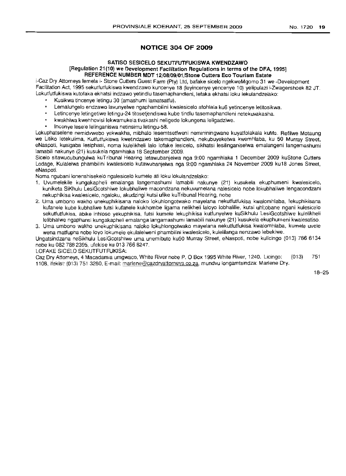## **NOTICE 304 OF 2009**

#### SATISO SESICELO SEKUTFUTFUKISWA KWENDZAWO [Regulation 21(10) we Development Facilitation Regulations in terms 01 the DFA, 1995] REFERENCE NUMBER MDT 12/08/09/01/Stone Cutters Eco Tourism Estate

i-Caz Dry Attorneys lemela i- Stone Cutters Guest Farm (Pty) Ltd, bafake sicelo ngekweMgomo 31 we -Development Facilitation Act, 1995 sekutfutfukiswa kwendzawo kuncenye 18 (Ieyincenye yencenye 10) yelipulazi i-Zwagershoek 82 JT. Lokutfutfukiswa kutofaka ekhatsi indzawo yetindlu tasemaphandleni, lefaka ekhatsi loku lekulandzelako:

- Kusikwa tincenye letingu 30 (amashumi lamatsatfu).
- Lemalungelo endzawo lavunyelwe ngaphambilini kwalesicelo atohlala ku6 yetincenye letitosikwa.
- Letincenye letingetiwe letingu-24 titosetjendiswa kube tindlu tasemaphandleni netekuvakasha.
- kwakhiwa kwehhovisi lekwamukela tivakashi neligede lokungena leligadziwe.
- Incenye lesele lelinganiswa netinsimu letingu-58.

Lokuphatselene nemidvwebo yekwakha, mibhalo lesemtsetfweni nemininingwane kuyatfolakala kuMs. Refilwe Motaung we Litiko letekulima, Kutfutfukiswa kwetindzawo takemaphandleni, nekubuyeketwa kwemhlaba, ku 50 Murray Street, eNaspoti, kusigaba lesiphasi, noma kulelikheli lalo lofake lesicelo, sikhatsi lesilinganiselwa emalangeni langemashumi lamabili nakunye (21) kusukela ngamhlaka 18 September 2009.

Sicelo sitawucubungulwa kuTribunal Hearing letawubanjelwa nga 9:00 ngamhlaka 1 December 2009 kuStone Cutters Lodage, Kulalelwa phambilini kwalesicelo kutawubanjelwa nga 9:00 ngamhlaka 24 November 2009 ku18 Jones Street, eNaspoti.

Noma ngubani lonenshisekelo ngalesicelo kumele ati loku lokulandzelako:

- 1. Uvumelekile kungakapheli emalanga langemashumi lamabili nakunye (21) kusukela ekuphumeni kwalesicelo, kuniketa SiKhulu LesiGcotshiwe lokubhaliwe macondzana nekuvumelana nalesicelo nobe lokubhaliwe lengacondzani nekuphikisa kwalesicelo, ngaloku, akudzingi kutsi ufike kuTribunal Hearing, nobe
- 2. Uma umbono wakho unekuphikisana naloko lokuhlongotwako mayelana nekutfutfukisa kwalomhlaba, lekuphikisana kufanele kube kubhaliwe futsi kufanele kukhombe ligama nelikheli laloyo lobhalilie, kutsi uhl;obane ngani kulesicelo sekutfutfukisa, abike inhloso yekuphikisa, futsi kumele lekuphikisa kutfunyelwe kuSikhulu LesiGcotshiwe kulelikheli lelibhalwe ngaphansi kungakapheli emalanga langamashumi lamabili nakunye (21) kusukela ekuphumeni kwalesatiso.
- 3. Uma umbono wakho unekuphikisana naloko lokuhlongotwako mayelana nekutfutfukisa kwalomhlaba, kumele uvele wena matfupha nobe loyo lokumele ekulalelweni phambilini kwalesicelo, kulelilanga nenzawo lebekiwe.

Ungatsindzana neSikhulu LesiGcotshiwe uma unemibuto ku50 Murray Street, eNaspoti. nobe kulicingo (013) 766 6134 nobe ku 082 788 2395, ufekise ku 013766 8247.

LOFAKE SICELO SEKUTFUTFUKISA:

Caz Dry Attorneys, 4 Macadamia umgwaco, White River nobe P. 0 Box 1995 White River, 1240. Licingo: (013) 751 1108, ifekisi: (013) 751 3280, E-mail: marlene@cazdryattorneys.co.za, mundvu longamtsindza: Marlene Dry.

18-25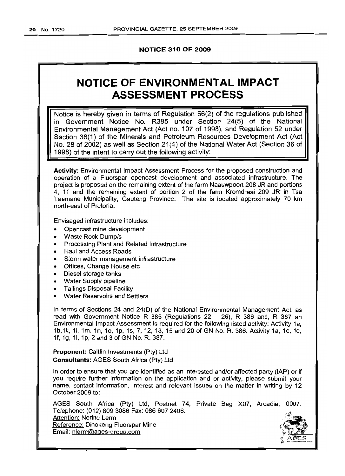#### **NOTICE 310 OF 2009**

## **NOTICE OF ENVIRONMENTAL IMPACT** ASSESSMENT PROCESS

Notice is hereby given in terms of Regulation 56(2) of the regulations published in Government Notice No. R385 under Section 24(5) of the National Environmental Management Act (Act no. 107 of 1998), and Regulation 52 under Section 38(1) of the Minerals and Petroleum Resources Development Act (Act No. 28 of 2002) as well as Section 21 (4) of the National Water Act (Section 36 of 1998) of the intent to carry out the following activity:

**Activity:** Environmental Impact Assessment Process for the proposed construction and operation of a Fluorspar opencast development and associated infrastructure. The project is proposed on the remaining extent of the farm Naauwpoort 208 JR and portions 4, 11 and the remaining extent of portion 2 of the farm Kromdraai 209 JR in Tsa Taemane Municipality, Gauteng Province. The site is located approximately 70 km north-east of Pretoria.

Envisaged infrastructure includes:

- Opencast mine development
- Waste Rock Dump/s
- Processing Plant and Related Infrastructure
- Haul and Access Roads
- Storm water management infrastructure
- Offices, Change House etc
- Diesel storage tanks
- Water Supply pipeline
- Tailings Disposal Facility
- Water Reservoirs and Settlers

In terms of Sections 24 and 24(0) of the National Environmental Management Act, as read with Government Notice R 385 (Regulations  $22 - 26$ ), R 386 and, R 387 an Environmental Impact Assessment is required for the following listed activity: Activity 1a, 1b,1k, 11, 1m, 1n, 10, 1p, 1s, 7,12,13,15 and 20 ofGN No. R. 386. Activity 1a, 1c, 1e, 1f, 19, 11, 1p, 2 and 3 of GN No. R. 387.

**Proponent:** Caitlin Investments (Pty) Ltd **Consultants:** AGES South Africa (Pty) Ltd

In order to ensure that you are identified as an interested and/or affected party (lAP) or if you require further information on the application and or activity, please submit your name, contact information, interest and relevant issues on the matter in writing by 12 October 2009 to:

AGES South Africa (Pty) Ltd, Postnet 74, Private Bag X07, Arcadia, 0007. Telephone: (012) 809 3086 Fax: 0866072406. Attention: Nerine Lerm Reference: Dinokeng Fluorspar Mine Email: nlerm@ages-group.com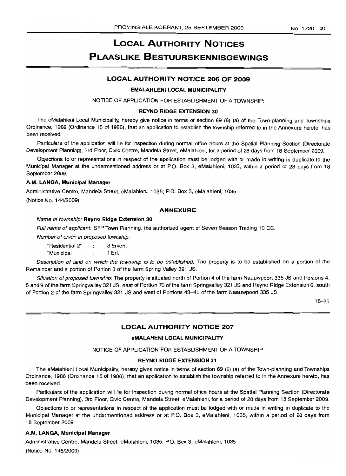## **LOCAL AUTHORITY NOTICES PLAASLIKE BESTUURSKENNISGEWINGS**

### **LOCAL AUTHORITY NOTICE 206 OF 2009**

#### **EMALAHLENI LOCAL MUNICIPALITY**

NOTICE OF APPLICATION FOR ESTABLISHMENT OF A TOWNSHIP:

#### **REYNO RIDGE EXTENSION 30**

The eMalahleni Local Municipality, hereby give notice in terms of section 69 (6) (a) of the Town-planning and Townships Ordinance, 1986 (Ordinance 15 of 1986), that an application to establish the township referred to in the Annexure hereto, has been received.

Particulars of the application will lie for inspection during normal office hours at the Spatial Planning Section (Directorate Development Planning), 3rd Floor, Civic Centre, Mandela Street, eMalahleni, for a period of 28 days from 18 September 2009.

Objections to or representations in respect of the application must be lodged with or made in writing in duplicate to the Municipal Manager at the undermentioned address or at P.O. Box 3, eMalahleni, 1035, within a period of 28 days from 18 September 2009.

#### **A.M. LANGA, Municipal Manager**

Administrative Centre, Mandela Street, eMalahleni, 1035; P.O. Box 3, eMalahleni, 1035

(Notice No. 144/2009)

#### **ANNEXURE**

#### Name of township: **Reyno Ridge Extension 30**

Full name of applicant: SFP Town Planning, the authorized agent of Seven Season Trading 10 CC.

Number of erven in proposed township: "Residential 2" : 8 Erven. "Municipal" 1 Erf.

Description of land on which the township is to be established: The property is to be established on a portion of the Remainder and a portion of Portion 3 of the farm Spring Valley 321 JS.

Situation of proposed township: The property is situated north of Portion 4 of the farm Naauwpoort 335 JS and Portions 4, 5 and 9 of the farm Springvalley 321 JS, east of Portion 70 of the farm Springvalley 321 JS and Reyno Ridge Extension 6, south of Portion 2 of the farm Springvalley 321 JS and west of Portions 43-45 of the farm Naauwpoort 335 JS.

18-25

## **LOCAL AUTHORITY NOTICE 207**

#### **eMALAHENI LOCAL MUNICIPALITY**

#### NOTICE OF APPLICATION FOR ESTABLISHMENT OF A TOWNSHIP

#### **REYNO RIDGE EXTENSION** 31

The eMalahleni Local Municipality, hereby gives notice in terms of section 69 (6) (a) of the Town-planning and Townships Ordinance, 1986 (Ordinance 15 of 1986), that an application to establish the township referred to in the Annexure hereto, has been received.

Particulars of the application will lie for inspection during normal office hours at the Spatial Planning Section (Directorate Development Planning), 3rd Floor, Civic Centre, Mandela Street, eMalahleni, for a period of 28 days from 18 September 2009.

Objections to or representations in respect of the application must be lodged with or made in writing in duplicate to the Municipal Manager at the undermentioned address or at P.O. Box 3, eMalahleni, 1035, within a period of 28 days from 18 September 2009.

#### **A.M.** LANGA, **Municipal Manager**

Administrative Centre, Mandela Street, eMalahleni, 1035; P.O. Box 3, eMalahleni, 1035

(Notice No. 145/2009)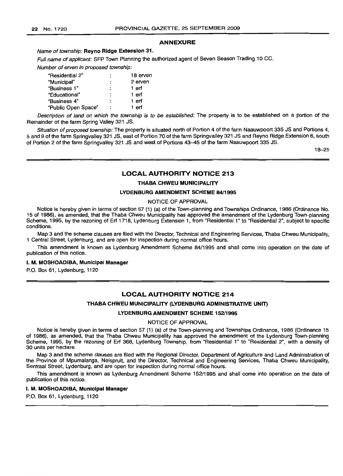#### ANNEXURE

#### Name of township: Reyno Ridge Extension 31.

Full name of applicant: SFP Town Planning the authorized agent of Seven Season Trading 10 CC.

Number of erven in proposed township:

| ٠                    | 18 erven |
|----------------------|----------|
|                      | 2 erven  |
| ٠                    | 1 erf    |
| $\ddot{\phantom{a}}$ | 1 erf    |
| ٠                    | 1 erf    |
| ٠                    | 1 erf    |
|                      |          |

Description of land on which the township is to be established: The property is to be established on a portion of the Remainder of the farm Spring Valley 321 JS.

Situation of proposed township: The property is situated north of Portion 4 of the farm Naauwpoort 335 JS and Portions 4, 5 and 9 of the farm Springvalley 321 JS, east of Portion 70 of the farm Springvalley 321 JS and Reyno Ridge Extension 6, south of Portion 2 of the farm Springvalley 321 JS and west of Portions 43-45 of the farm Naauwpoort 335 JS.

18-25

#### LOCAL AUTHORITY NOTICE 213

#### THABA CHWEU MUNICIPALITY

#### LYDENBLIRG AMENDMENT SCHEME 84/1995

#### NOTICE OF APPROVAL

Notice is hereby given in terms of section 57 (1) (a) of the Town-planning and Townships Ordinance, 1986 (Ordinance No. 15 of 1986), as amended, that the Thaba Chweu Municipality has approved the amendment of the Lydenburg Town-planning Scheme, 1995, by the rezoning of Erf 1718, Lydenburg Extension 1, from "Residential 1" to "Residential 2", subject to specific conditions.

Map 3 and the scheme clauses are filed with the Director, Technical and Engineering Services, Thaba Chweu Municipality, 1 Central Street, Lydenburg, and are open for inspection during normal office hours.

This amendment is known as Lydenburg Amendment Scheme 84/1995 and shall come into operation on the date of publication of this notice.

#### I. M. MOSHOADIBA, Municipal Manager

P.O. Box 61, Lydenburg, 1120

#### LOCAL AUTHORITY NOTICE 214

#### THABA CHWEU MUNICIPALITY (LYDENBURG ADMINISTRATIVE UNIT)

#### LYDENBURG AMENDMENT SCHEME 152/1995

#### NOTICE OF APPROVAL

Notice is hereby given in terms of section 57 (1) (a) of the Town-planning and Townships Ordinance, 1986 (Ordinance 15 of 1986), as amended, that the Thaba Chweu Municipality has approved the amendment of the Lydenburg Town-planning Scheme, 1995, by the rezoning of Erf 368, Lydenburg Township, from "Residential 1" to "Residential 2", with a density of 30 units per hectare.

Map 3 and the scheme clauses are filed with the Regional Director, Department of Agriculture and Land Administration of the Province of Mpumalanga, Nelspruit, and the Director, Technical and Engineering Services, Thaba Chweu Municipality, Sentraal Street, Lydenburg, and are open for inspection during normal office hours.

This amendment is known as Lydenburg Amendment Scheme 152/1995 and shall come into operation on the date of publication of this notice.

#### I. M. MOSHOADIBA, Municipal Manager

P.O. Box 61, Lydenburg, 1120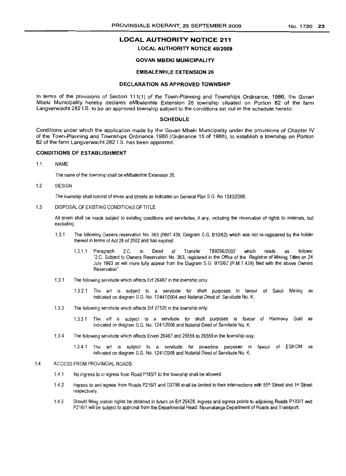## **LOCAL AUTHORITY NOTICE 211**

#### **LOCAL AUTHORITY NOTICE 49/2009**

#### **GOVAN MBEKI MUNICIPALITY**

#### **EMBALENHLE EXTENSION 26**

#### **DECLARATION AS APPROVED TOWNSHIP**

In terms of the provisions of Section 111(1) of the Town-Planning and Townships Ordinance, 1986, the Govan Mbeki Municipality hereby declares eMbalenhle Extension 26 township situated on Portion 82 of the farm Langverwacht 282 I.S. to be an approved township subject to the conditions set out in the schedule hereto:

#### **SCHEDULE**

Conditions under which the application made by the Govan Mbeki Municipality under the provisions of Chapter IV of the Town-Planning and Townships Ordinance 1986 (Ordinance 15 of 1986), to establish a township on Portion 82 of the farm Langverwacht 282 I.S. has been approved.

#### **CONDITIONS OF ESTABLISHMENT**

1.1 NAME

The name of the township shall be eMbalenhle Extension 26.

1.2 DESIGN

The township shall consist of erven and streetsas indicatedon General Plan S.G. No 1243/2006.

1.3 DISPOSAL OF EXISTING CONDITIONS OFTITLE

All erven shall be made subject to existing conditions and servitudes, if any, including the reservation of rights to minerals, but excluding:

- 1.3.1 The following Owners reservation No. 363 (RMT 439, Diagram S.G. 810/62) which was not re-registered by the holder thereof in terms of Act 28 of 2002 and has expired:
	- 1.3.1.1 Paragraph 2.C. in Deed of Transfer T89295/2002 which reads as follows: "2.e Subject to Owners Reservation No. 363, registered in the Office of the Registrar of Mining Titles on 24 July 1963 as will more fully appear from the Diagram S.G. 810/62 (R.M.T.439) filed with the above Owners Reservation"
- 1.3.1 The following servitude which affects Erf 26487 in the township only:
	- 1.3.21 The erf is subject to a servitude for shaft purposes in favour of Sasol Mining as indicated on diagram S.G. No. 12447/2004 and Notarial Deed of Servitude No. K.
- 1.3.2 The following servitudewhich affects Erf 27526 in the township only:
	- 1.3.3.1 The erf is subject to a servitude for shaft purposes in favour of Harmony Gold as indicated on diagram S.G. No. 1241/2006 and Notarial Deed of Servitude No. K.
- 1.3.4 The following servitude which affects Erven 26487 and 26555 to 26559 in the township only:
	- 1.3.4.1 The erf is subject to a servitude for powerline purposes in favour of ESKOM as indicated on diagram S.G. No. 1241/2006 and Notarial Deed of Servitude No. K.

#### 1.4 ACCESSFROM PROVINCIAL ROADS

- 1.4.1 No ingress to or egress from Road P185/1 to the township shall be allowed.
- 1.4.2 Ingress to and egress from Roads P216/1 and D2796 shall be limited to their intersections with 55<sup>th</sup> Street and 1st Street respectively.
- 1.4.3 Should filling station rights be obtained in future on Erf 26428, ingress and egress points to adjoining Roads P185/1 and P216/1 will be subject to approval from the Departmental Head: Mpumalanga Department of Roads and Transport.